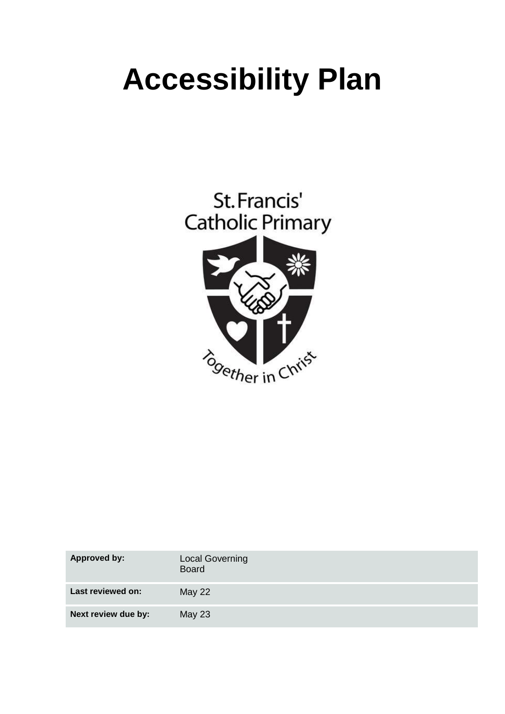# **Accessibility Plan**



| <b>Approved by:</b> | <b>Local Governing</b><br><b>Board</b> |
|---------------------|----------------------------------------|
| Last reviewed on:   | <b>May 22</b>                          |
| Next review due by: | <b>May 23</b>                          |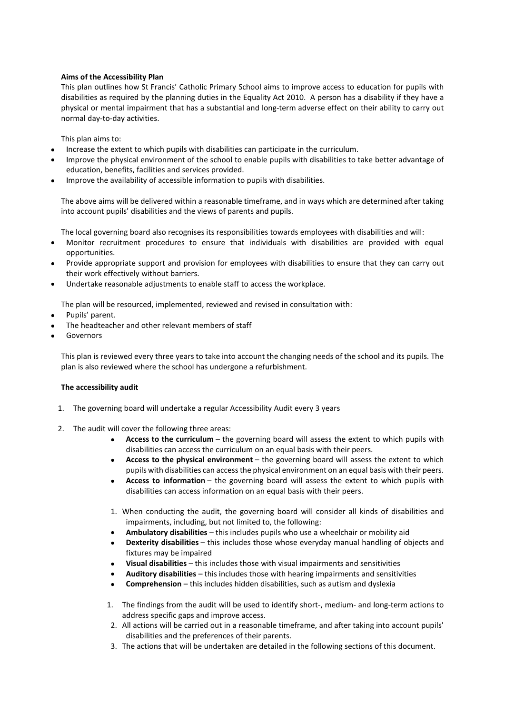#### **Aims of the Accessibility Plan**

This plan outlines how St Francis' Catholic Primary School aims to improve access to education for pupils with disabilities as required by the planning duties in the Equality Act 2010. A person has a disability if they have a physical or mental impairment that has a substantial and long-term adverse effect on their ability to carry out normal day-to-day activities.

This plan aims to:

- Increase the extent to which pupils with disabilities can participate in the curriculum.
- Improve the physical environment of the school to enable pupils with disabilities to take better advantage of education, benefits, facilities and services provided.
- Improve the availability of accessible information to pupils with disabilities.

The above aims will be delivered within a reasonable timeframe, and in ways which are determined after taking into account pupils' disabilities and the views of parents and pupils.

The local governing board also recognises its responsibilities towards employees with disabilities and will:

- Monitor recruitment procedures to ensure that individuals with disabilities are provided with equal opportunities.
- Provide appropriate support and provision for employees with disabilities to ensure that they can carry out their work effectively without barriers.
- Undertake reasonable adjustments to enable staff to access the workplace.

The plan will be resourced, implemented, reviewed and revised in consultation with:

- Pupils' parent.
- The headteacher and other relevant members of staff
- Governors

This plan is reviewed every three years to take into account the changing needs of the school and its pupils. The plan is also reviewed where the school has undergone a refurbishment.

#### **The accessibility audit**

- 1. The governing board will undertake a regular Accessibility Audit every 3 years
- 2. The audit will cover the following three areas:
	- **Access to the curriculum** the governing board will assess the extent to which pupils with disabilities can access the curriculum on an equal basis with their peers.
	- **Access to the physical environment** the governing board will assess the extent to which pupils with disabilities can accessthe physical environment on an equal basis with their peers.
	- **Access to information** the governing board will assess the extent to which pupils with disabilities can access information on an equal basis with their peers.
	- 1. When conducting the audit, the governing board will consider all kinds of disabilities and impairments, including, but not limited to, the following:
	- **Ambulatory disabilities** this includes pupils who use a wheelchair or mobility aid
	- **Dexterity disabilities** this includes those whose everyday manual handling of objects and fixtures may be impaired
	- **Visual disabilities** this includes those with visual impairments and sensitivities
	- **Auditory disabilities** this includes those with hearing impairments and sensitivities
	- **Comprehension** this includes hidden disabilities, such as autism and dyslexia
	- 1. The findings from the audit will be used to identify short-, medium- and long-term actions to address specific gaps and improve access.
	- 2. All actions will be carried out in a reasonable timeframe, and after taking into account pupils' disabilities and the preferences of their parents.
	- 3. The actions that will be undertaken are detailed in the following sections of this document.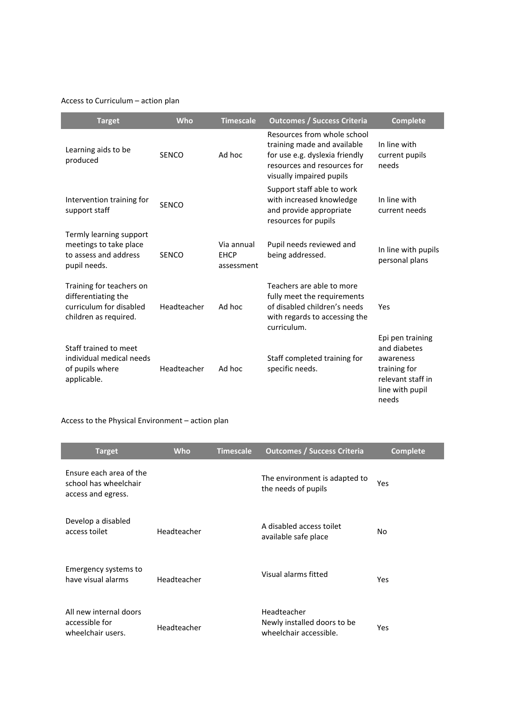## Access to Curriculum – action plan

| <b>Target</b>                                                                                       | <b>Who</b>   | <b>Timescale</b>                        | <b>Outcomes / Success Criteria</b>                                                                                                                      | <b>Complete</b>                                                                                                |
|-----------------------------------------------------------------------------------------------------|--------------|-----------------------------------------|---------------------------------------------------------------------------------------------------------------------------------------------------------|----------------------------------------------------------------------------------------------------------------|
| Learning aids to be<br>produced                                                                     | <b>SENCO</b> | Ad hoc                                  | Resources from whole school<br>training made and available<br>for use e.g. dyslexia friendly<br>resources and resources for<br>visually impaired pupils | In line with<br>current pupils<br>needs                                                                        |
| Intervention training for<br>support staff                                                          | <b>SENCO</b> |                                         | Support staff able to work<br>with increased knowledge<br>and provide appropriate<br>resources for pupils                                               | In line with<br>current needs                                                                                  |
| Termly learning support<br>meetings to take place<br>to assess and address<br>pupil needs.          | <b>SENCO</b> | Via annual<br><b>EHCP</b><br>assessment | Pupil needs reviewed and<br>being addressed.                                                                                                            | In line with pupils<br>personal plans                                                                          |
| Training for teachers on<br>differentiating the<br>curriculum for disabled<br>children as required. | Headteacher  | Ad hoc                                  | Teachers are able to more<br>fully meet the requirements<br>of disabled children's needs<br>with regards to accessing the<br>curriculum.                | Yes                                                                                                            |
| Staff trained to meet<br>individual medical needs<br>of pupils where<br>applicable.                 | Headteacher  | Ad hoc                                  | Staff completed training for<br>specific needs.                                                                                                         | Epi pen training<br>and diabetes<br>awareness<br>training for<br>relevant staff in<br>line with pupil<br>needs |

## Access to the Physical Environment – action plan

| <b>Target</b>                                                          | <b>Who</b>  | <b>Timescale</b> | <b>Outcomes / Success Criteria</b>                                   | <b>Complete</b> |
|------------------------------------------------------------------------|-------------|------------------|----------------------------------------------------------------------|-----------------|
| Ensure each area of the<br>school has wheelchair<br>access and egress. |             |                  | The environment is adapted to<br>the needs of pupils                 | Yes             |
| Develop a disabled<br>access toilet                                    | Headteacher |                  | A disabled access toilet<br>available safe place                     | No              |
| Emergency systems to<br>have visual alarms                             | Headteacher |                  | Visual alarms fitted                                                 | Yes             |
| All new internal doors<br>accessible for<br>wheelchair users.          | Headteacher |                  | Headteacher<br>Newly installed doors to be<br>wheelchair accessible. | Yes             |